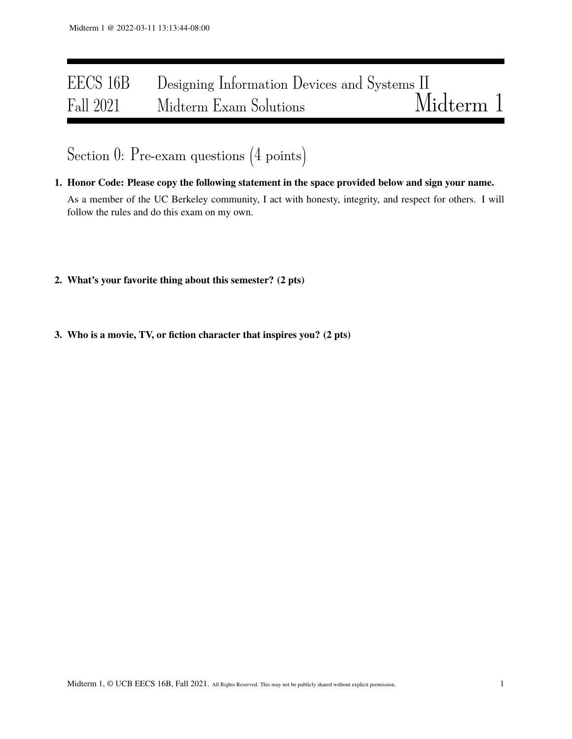# EECS 16B Designing Information Devices and Systems II<br>Fall 2021 Midterm Exam Solutions Midterm 1 Fall 2021 Midterm Exam Solutions

Section 0: Pre-exam questions (4 points)

- 1. Honor Code: Please copy the following statement in the space provided below and sign your name. As a member of the UC Berkeley community, I act with honesty, integrity, and respect for others. I will follow the rules and do this exam on my own.
- 2. What's your favorite thing about this semester? (2 pts)
- 3. Who is a movie, TV, or fiction character that inspires you? (2 pts)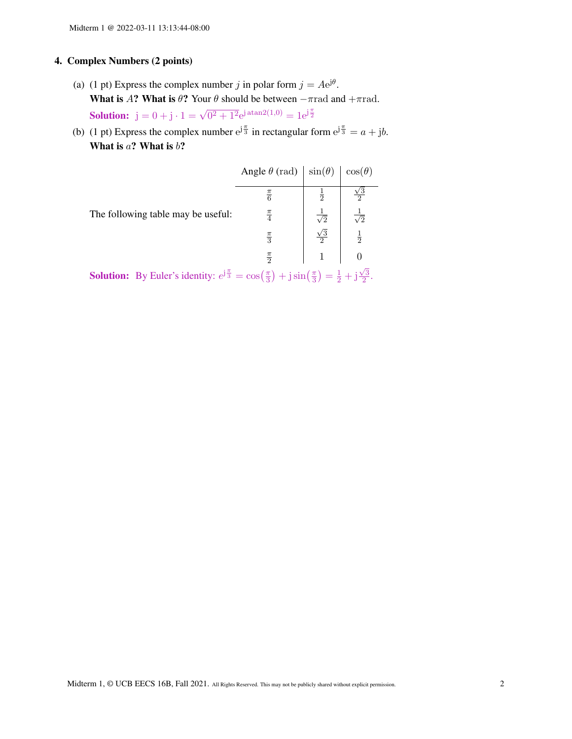# 4. Complex Numbers (2 points)

- (a) (1 pt) Express the complex number j in polar form  $j = Ae^{j\theta}$ . What is A? What is  $\theta$ ? Your  $\theta$  should be between  $-\pi$ rad and  $+\pi$ rad. Solution:  $j = 0 + j \cdot 1 = \sqrt{0^2 + 1^2} e^{j \arctan(1,0)} = 1 e^{j \frac{\pi}{2}}$
- (b) (1 pt) Express the complex number  $e^{j\frac{\pi}{3}}$  in rectangular form  $e^{j\frac{\pi}{3}} = a + jb$ . What is  $a$ ? What is  $b$ ?

|                                    | Angle $\theta$ (rad) | $\sin(\theta)$      | $\cos(\theta)$ |
|------------------------------------|----------------------|---------------------|----------------|
|                                    | $\frac{\pi}{6}$      | $\frac{1}{2}$       |                |
| The following table may be useful: | $\frac{\pi}{4}$      | $\sqrt{2}$          | $\sqrt{2}$     |
|                                    | $\frac{\pi}{3}$      | /3<br>$\mathcal{D}$ | $\frac{1}{2}$  |
|                                    | $\frac{\pi}{2}$      |                     |                |

**Solution:** By Euler's identity:  $e^{j\frac{\pi}{3}} = \cos(\frac{\pi}{3})$  $\frac{\pi}{3}$  + j sin  $\left(\frac{\pi}{3}\right)$  $\frac{\pi}{3}$ ) =  $\frac{1}{2}$  + j  $\sqrt{3}$  $\frac{73}{2}$ .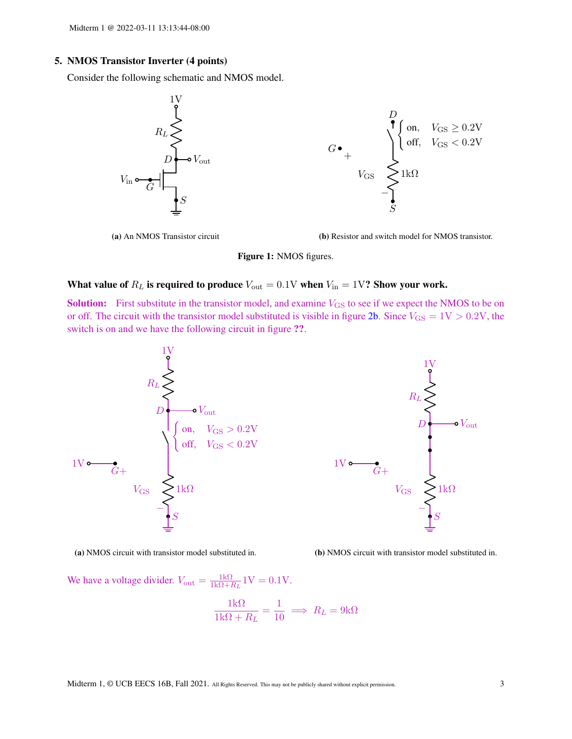# 5. NMOS Transistor Inverter (4 points)

Consider the following schematic and NMOS model.



(a) An NMOS Transistor circuit

(b) Resistor and switch model for NMOS transistor.

#### Figure 1: NMOS figures.

## What value of  $R_L$  is required to produce  $V_{\text{out}} = 0.1 \text{V}$  when  $V_{\text{in}} = 1 \text{V}$ ? Show your work.

**Solution:** First substitute in the transistor model, and examine  $V_{\text{GS}}$  to see if we expect the NMOS to be on or off. The circuit with the transistor model substituted is visible in figure [2b.](#page-2-0) Since  $V_{\text{GS}} = 1 \text{V} > 0.2 \text{V}$ , the switch is on and we have the following circuit in figure ??.

<span id="page-2-0"></span>

(a) NMOS circuit with transistor model substituted in.



We have a voltage divider.  $V_{\text{out}} = \frac{1k\Omega}{1k\Omega + l}$  $\frac{1k\Omega}{1k\Omega+R_L}$  1V = 0.1V.

$$
\frac{1k\Omega}{1k\Omega + R_L} = \frac{1}{10} \implies R_L = 9k\Omega
$$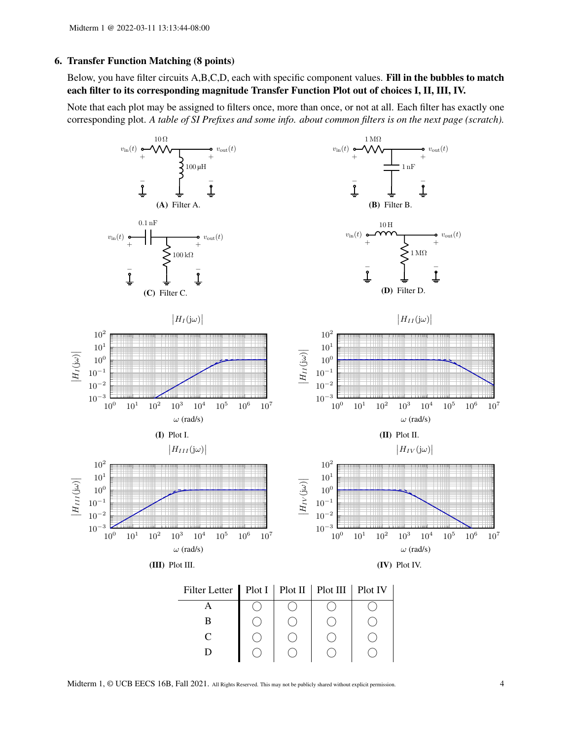## 6. Transfer Function Matching (8 points)

Below, you have filter circuits A,B,C,D, each with specific component values. Fill in the bubbles to match each filter to its corresponding magnitude Transfer Function Plot out of choices I, II, III, IV.

Note that each plot may be assigned to filters once, more than once, or not at all. Each filter has exactly one corresponding plot. *A table of SI Prefixes and some info. about common filters is on the next page (scratch).*



Midterm 1, © UCB EECS 16B, Fall 2021. All Rights Reserved. This may not be publicly shared without explicit permission. 4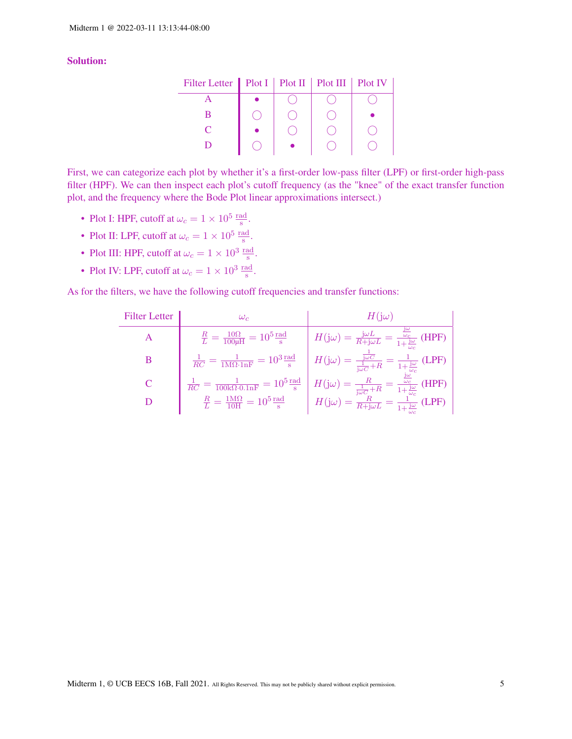# Solution:

| Filter Letter   Plot I   Plot II   Plot III   Plot IV |  |  |
|-------------------------------------------------------|--|--|
|                                                       |  |  |
|                                                       |  |  |
|                                                       |  |  |
|                                                       |  |  |

First, we can categorize each plot by whether it's a first-order low-pass filter (LPF) or first-order high-pass filter (HPF). We can then inspect each plot's cutoff frequency (as the "knee" of the exact transfer function plot, and the frequency where the Bode Plot linear approximations intersect.)

- Plot I: HPF, cutoff at  $\omega_c = 1 \times 10^5 \frac{\text{rad}}{\text{s}}$ .
- Plot II: LPF, cutoff at  $\omega_c = 1 \times 10^5 \frac{\text{rad}}{\text{s}}$ .
- Plot III: HPF, cutoff at  $\omega_c = 1 \times 10^3 \frac{\text{rad}}{\text{s}}$ .
- Plot IV: LPF, cutoff at  $\omega_c = 1 \times 10^3 \frac{\text{rad}}{\text{s}}$ .

As for the filters, we have the following cutoff frequencies and transfer functions:

| <b>Filter Letter</b> | $\omega_{c}$                                                                                    | $H$ ( $\mathrm{i}\omega$ )                                                                                                                                                                                                       |
|----------------------|-------------------------------------------------------------------------------------------------|----------------------------------------------------------------------------------------------------------------------------------------------------------------------------------------------------------------------------------|
|                      | $\frac{R}{L}=\frac{10\Omega}{100\mu\mathrm{H}}=10^5\frac{\mathrm{rad}}{\mathrm{s}}$             | $H(j\omega) = \frac{j\omega L}{R+j\omega L} = \frac{z}{1+\frac{j\omega}{L}}$ (HPF)                                                                                                                                               |
| B                    | $\frac{1}{RC} = \frac{1}{1 \text{M}\Omega \cdot \text{lnF}} = 10^3 \frac{\text{rad}}{\text{s}}$ | $H(j\omega) = \frac{\frac{1}{j\omega C}}{\frac{1}{i\omega C} + R} = \frac{1}{1 + \frac{j\omega}{\omega c}}$ (LPF)                                                                                                                |
|                      |                                                                                                 | $\frac{1}{RC} = \frac{1}{100 \text{k}\Omega \cdot 0.1 \text{nF}} = 10^5 \frac{\text{rad}}{\text{s}} \left  H(j\omega) = \frac{R}{\frac{1}{j\omega C} + R} = \frac{\frac{j\omega}{\omega_c}}{1 + \frac{j\omega}{\omega_c}}$ (HPF) |
| D                    | $\frac{R}{L} = \frac{1\text{M}\Omega}{10\text{H}} = 10^5 \frac{\text{rad}}{\text{s}}$           | $H(j\omega) = \frac{R}{R+j\omega L} = \frac{1}{1+\frac{j\omega}{l}}$ (LPF)                                                                                                                                                       |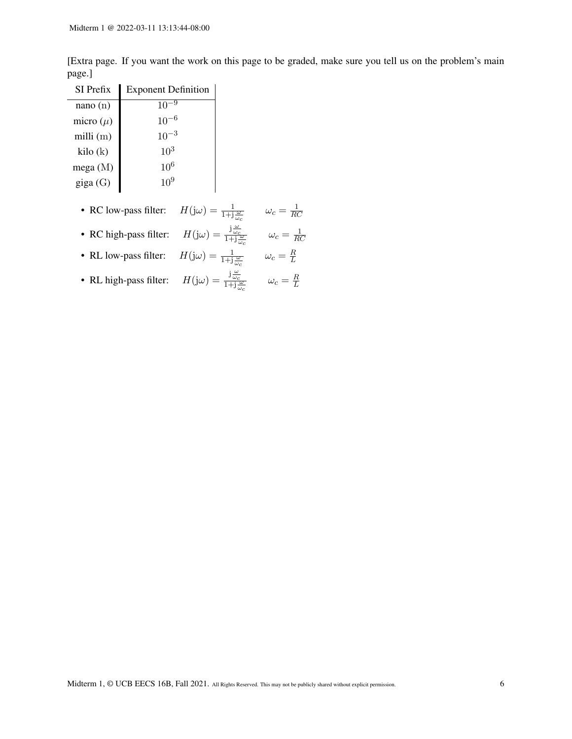[Extra page. If you want the work on this page to be graded, make sure you tell us on the problem's main page.]

| SI Prefix         | <b>Exponent Definition</b> |
|-------------------|----------------------------|
| nano(n)           | 10                         |
| micro $(\mu)$     | $10^{-6}$                  |
| milli $(m)$       | $10^{-3}$                  |
| kilo(k)           | $10^{3}$                   |
| mega $(M)$        | $10^{6}$                   |
| $\text{giga}$ (G) | $10^{9}$                   |

- RC low-pass filter:  $H(j\omega) = \frac{1}{1+j\frac{\omega}{\omega_c}}$   $\omega_c = \frac{1}{Rc}$ RC
- RC high-pass filter:  $H(j\omega) = \frac{j\frac{\omega}{\omega_c}}{1+j\frac{\omega}{\omega_c}}$   $\omega_c = \frac{1}{RQ}$ RC
- RL low-pass filter:  $H(j\omega) = \frac{1}{1+j\frac{\omega}{\omega_c}}$   $\omega_c = \frac{R}{L}$ L
- RL high-pass filter:  $H(j\omega) = \frac{j\frac{\omega}{\omega_c}}{1+j\frac{\omega}{\omega_c}}$   $\omega_c = \frac{R}{L}$ L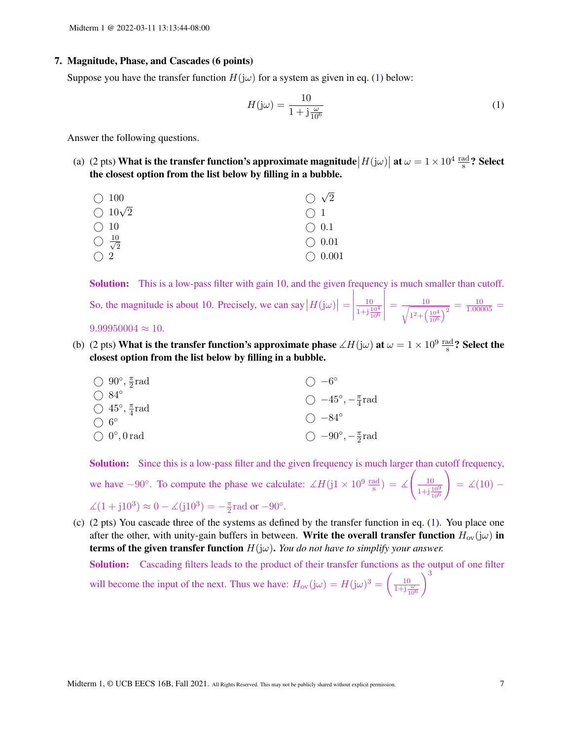### 7. Magnitude, Phase, and Cascades (6 points)

Suppose you have the transfer function  $H(j\omega)$  for a system as given in eq. [\(1\)](#page-6-0) below:

<span id="page-6-0"></span>
$$
H(j\omega) = \frac{10}{1 + j\frac{\omega}{10^6}}\tag{1}
$$

Answer the following questions.

(a) (2 pts) What is the transfer function's approximate magnitude  $|H(j\omega)|$  at  $\omega = 1 \times 10^4 \frac{\text{rad}}{\text{s}}$ ? Select the closest option from the list below by filling in a bubble.

| $\bigcirc$ 100                 | $\bigcirc$ $\sqrt{2}$ |
|--------------------------------|-----------------------|
| $\bigcirc$ 10 $\sqrt{2}$       | $\bigcap$ 1           |
| $\bigcirc$ 10                  | $\bigcirc$ 0.1        |
| $\bigcirc \frac{10}{\sqrt{2}}$ | $\bigcirc$ 0.01       |
| $\bigcap 2$                    | $\bigcirc$ 0.001      |
|                                |                       |

Solution: This is a low-pass filter with gain 10, and the given frequency is much smaller than cutoff.

| So, the magnitude is about 10. Precisely, we can say $ H(j\omega)  = \left \frac{10}{1 + j\frac{10^4}{10^6}}\right  = \frac{10}{\sqrt{1^2 + \left(\frac{10^4}{10^6}\right)^2}} = \frac{10}{1.00005}$ |  |
|------------------------------------------------------------------------------------------------------------------------------------------------------------------------------------------------------|--|
| $9.99950004 \approx 10.$                                                                                                                                                                             |  |

(b) (2 pts) What is the transfer function's approximate phase  $\measuredangle H(j\omega)$  at  $\omega = 1 \times 10^9 \, \frac{\text{rad}}{\text{s}}$ ? Select the closest option from the list below by filling in a bubble.

| $\bigcirc$ 90°, $\frac{\pi}{2}$ rad | $\bigcirc$ $-6^{\circ}$               |
|-------------------------------------|---------------------------------------|
| $\bigcirc$ 84°                      | $\bigcirc$ -45°, $-\frac{\pi}{4}$ rad |
| $\bigcirc$ 45°, $\frac{\pi}{4}$ rad |                                       |
| $\bigcap$ 6°                        | $() -84^{\circ}$                      |
| $\bigcirc$ 0°, 0 rad                | $\bigcirc$ -90°, $-\frac{\pi}{2}$ rad |

Solution: Since this is a low-pass filter and the given frequency is much larger than cutoff frequency,

we have 
$$
-90^\circ
$$
. To compute the phase we calculate:  $\angle H(j1 \times 10^9 \frac{\text{rad}}{\text{s}}) = \angle \left(\frac{10}{1+\text{j} \frac{10^9}{10^6}}\right) = \angle (10) - \angle (1+\text{j}10^3) \approx 0 - \angle (\text{j}10^3) = -\frac{\pi}{2} \text{rad or } -90^\circ.$ 

(c) (2 pts) You cascade three of the systems as defined by the transfer function in eq. [\(1\)](#page-6-0). You place one after the other, with unity-gain buffers in between. Write the overall transfer function  $H_{\text{ov}}(j\omega)$  in **terms of the given transfer function**  $H(j\omega)$ . *You do not have to simplify your answer.* 

Solution: Cascading filters leads to the product of their transfer functions as the output of one filter will become the input of the next. Thus we have:  $H_{ov}(j\omega) = H(j\omega)^3 = \left(\frac{10}{1+j\frac{\omega}{10^6}}\right)$  $\setminus^3$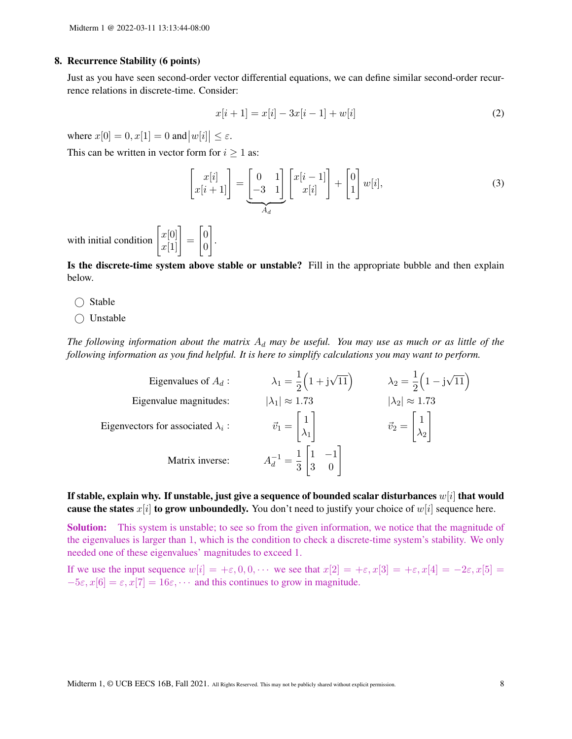## 8. Recurrence Stability (6 points)

Just as you have seen second-order vector differential equations, we can define similar second-order recurrence relations in discrete-time. Consider:

$$
x[i+1] = x[i] - 3x[i-1] + w[i]
$$
\n(2)

where  $x[0] = 0, x[1] = 0$  and  $|w[i]| \le \varepsilon$ .

This can be written in vector form for  $i \geq 1$  as:

.

$$
\begin{bmatrix} x[i] \\ x[i+1] \end{bmatrix} = \underbrace{\begin{bmatrix} 0 & 1 \\ -3 & 1 \end{bmatrix}}_{A_d} \begin{bmatrix} x[i-1] \\ x[i] \end{bmatrix} + \begin{bmatrix} 0 \\ 1 \end{bmatrix} w[i],
$$
\n(3)

with initial condition  $\begin{bmatrix} x[0] \\ x[1] \end{bmatrix} =$  $\lceil 0$ 0 1

Is the discrete-time system above stable or unstable? Fill in the appropriate bubble and then explain below.

- $\bigcirc$  Stable
- Unstable

The following information about the matrix  $A_d$  may be useful. You may use as much or as little of the *following information as you find helpful. It is here to simplify calculations you may want to perform.*

| Eigenvalues of $A_d$ :                    | $\lambda_1 = \frac{1}{2} (1 + i \sqrt{11})$                            | $\lambda_2 = \frac{1}{2} (1 - i \sqrt{11})$                |
|-------------------------------------------|------------------------------------------------------------------------|------------------------------------------------------------|
| Eigenvalue magnitudes:                    | $ \lambda_1  \approx 1.73$                                             | $ \lambda_2  \approx 1.73$                                 |
| Eigenvectors for associated $\lambda_i$ : | $\vec{v}_1 = \begin{bmatrix} 1 \\ \lambda_1 \end{bmatrix}$             | $\vec{v}_2 = \begin{bmatrix} 1 \\ \lambda_2 \end{bmatrix}$ |
| Matrix inverse:                           | $A_d^{-1} = \frac{1}{3} \begin{vmatrix} 1 & -1 \\ 3 & 0 \end{vmatrix}$ |                                                            |

If stable, explain why. If unstable, just give a sequence of bounded scalar disturbances  $w[i]$  that would cause the states  $x[i]$  to grow unboundedly. You don't need to justify your choice of  $w[i]$  sequence here.

Solution: This system is unstable; to see so from the given information, we notice that the magnitude of the eigenvalues is larger than 1, which is the condition to check a discrete-time system's stability. We only needed one of these eigenvalues' magnitudes to exceed 1.

If we use the input sequence  $w[i] = +\varepsilon, 0, 0, \cdots$  we see that  $x[2] = +\varepsilon, x[3] = +\varepsilon, x[4] = -2\varepsilon, x[5] =$  $-5\varepsilon$ ,  $x[6] = \varepsilon$ ,  $x[7] = 16\varepsilon$ ,  $\cdots$  and this continues to grow in magnitude.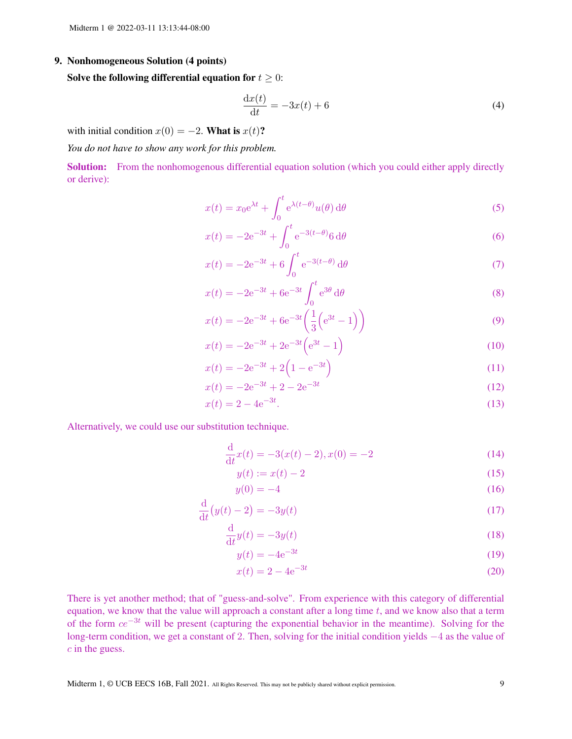## 9. Nonhomogeneous Solution (4 points)

Solve the following differential equation for  $t \geq 0$ :

$$
\frac{\mathrm{d}x(t)}{\mathrm{d}t} = -3x(t) + 6\tag{4}
$$

with initial condition  $x(0) = -2$ . What is  $x(t)$ ?

*You do not have to show any work for this problem.*

Solution: From the nonhomogenous differential equation solution (which you could either apply directly or derive):

$$
x(t) = x_0 e^{\lambda t} + \int_0^t e^{\lambda(t-\theta)} u(\theta) d\theta
$$
 (5)

$$
x(t) = -2e^{-3t} + \int_0^t e^{-3(t-\theta)} 6 \, d\theta \tag{6}
$$

$$
x(t) = -2e^{-3t} + 6 \int_0^t e^{-3(t-\theta)} d\theta
$$
 (7)

$$
x(t) = -2e^{-3t} + 6e^{-3t} \int_0^t e^{3\theta} d\theta
$$
 (8)

$$
x(t) = -2e^{-3t} + 6e^{-3t} \left(\frac{1}{3} \left(e^{3t} - 1\right)\right)
$$
\n(9)

$$
x(t) = -2e^{-3t} + 2e^{-3t} \left(e^{3t} - 1\right)
$$
\n(10)

$$
x(t) = -2e^{-3t} + 2\left(1 - e^{-3t}\right)
$$
\n(11)

$$
x(t) = -2e^{-3t} + 2 - 2e^{-3t}
$$
 (12)

$$
x(t) = 2 - 4e^{-3t}.\tag{13}
$$

Alternatively, we could use our substitution technique.

$$
\frac{\mathrm{d}}{\mathrm{d}t}x(t) = -3(x(t) - 2), x(0) = -2
$$
\n(14)

$$
y(t) := x(t) - 2 \tag{15}
$$

$$
y(0) = -4\tag{16}
$$

$$
\frac{\mathrm{d}}{\mathrm{d}t}(y(t)-2) = -3y(t) \tag{17}
$$

$$
\frac{\mathrm{d}}{\mathrm{d}t}y(t) = -3y(t) \tag{18}
$$

$$
y(t) = -4e^{-3t} \tag{19}
$$

$$
x(t) = 2 - 4e^{-3t}
$$
 (20)

There is yet another method; that of "guess-and-solve". From experience with this category of differential equation, we know that the value will approach a constant after a long time  $t$ , and we know also that a term of the form  $ce^{-3t}$  will be present (capturing the exponential behavior in the meantime). Solving for the long-term condition, we get a constant of 2. Then, solving for the initial condition yields −4 as the value of c in the guess.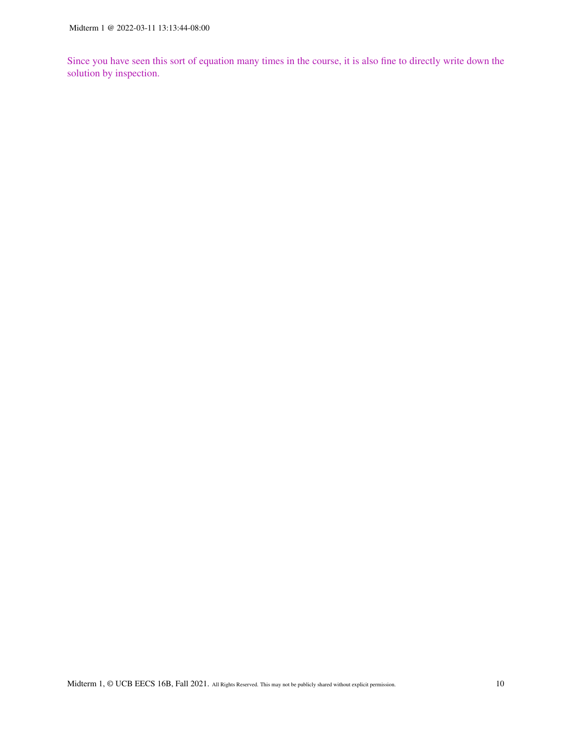Since you have seen this sort of equation many times in the course, it is also fine to directly write down the solution by inspection.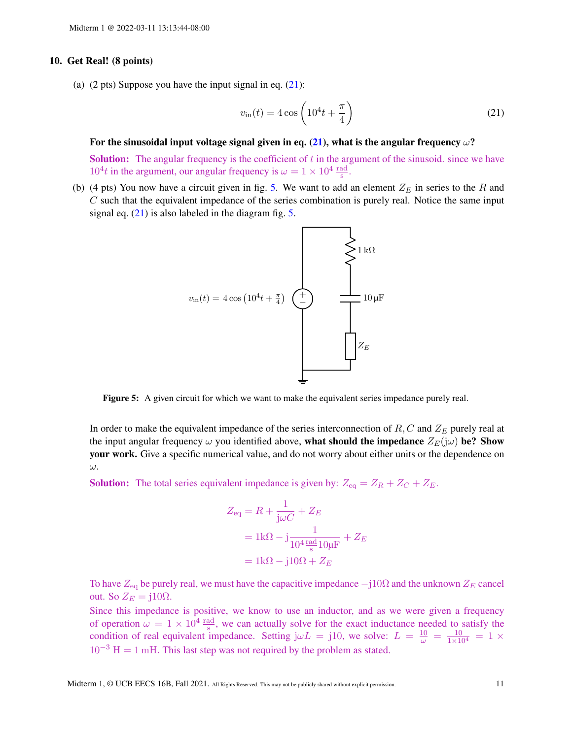## 10. Get Real! (8 points)

(a)  $(2 \text{ pts})$  Suppose you have the input signal in eq.  $(21)$ :

<span id="page-10-0"></span>
$$
v_{\rm in}(t) = 4\cos\left(10^4t + \frac{\pi}{4}\right) \tag{21}
$$

#### For the sinusoidal input voltage signal given in eq. [\(21\)](#page-10-0), what is the angular frequency  $\omega$ ?

**Solution:** The angular frequency is the coefficient of  $t$  in the argument of the sinusoid. since we have  $10^4t$  in the argument, our angular frequency is  $\omega = 1 \times 10^4 \frac{\text{rad}}{\text{s}}$ .

<span id="page-10-1"></span>(b) (4 pts) You now have a circuit given in fig. [5.](#page-10-1) We want to add an element  $Z_E$  in series to the R and  $C$  such that the equivalent impedance of the series combination is purely real. Notice the same input signal eq.  $(21)$  is also labeled in the diagram fig. [5.](#page-10-1)



Figure 5: A given circuit for which we want to make the equivalent series impedance purely real.

In order to make the equivalent impedance of the series interconnection of  $R, C$  and  $Z_E$  purely real at the input angular frequency  $\omega$  you identified above, what should the impedance  $Z_E(j\omega)$  be? Show your work. Give a specific numerical value, and do not worry about either units or the dependence on ω.

**Solution:** The total series equivalent impedance is given by:  $Z_{eq} = Z_R + Z_C + Z_E$ .

$$
Z_{\text{eq}} = R + \frac{1}{j\omega C} + Z_E
$$
  
=  $1k\Omega - j\frac{1}{10^4 \frac{\text{rad}}{\text{s}} 10\mu F} + Z_E$   
=  $1k\Omega - j10\Omega + Z_E$ 

To have  $Z_{\text{eq}}$  be purely real, we must have the capacitive impedance  $-j10\Omega$  and the unknown  $Z_E$  cancel out. So  $Z_E = j10\Omega$ .

Since this impedance is positive, we know to use an inductor, and as we were given a frequency of operation  $\omega = 1 \times 10^4 \frac{\text{rad}}{\text{s}}$ , we can actually solve for the exact inductance needed to satisfy the condition of real equivalent impedance. Setting  $j\omega L = j10$ , we solve:  $L = \frac{10}{\omega} = \frac{10}{1 \times 10^4} = 1 \times$  $10^{-3}$  H = 1 mH. This last step was not required by the problem as stated.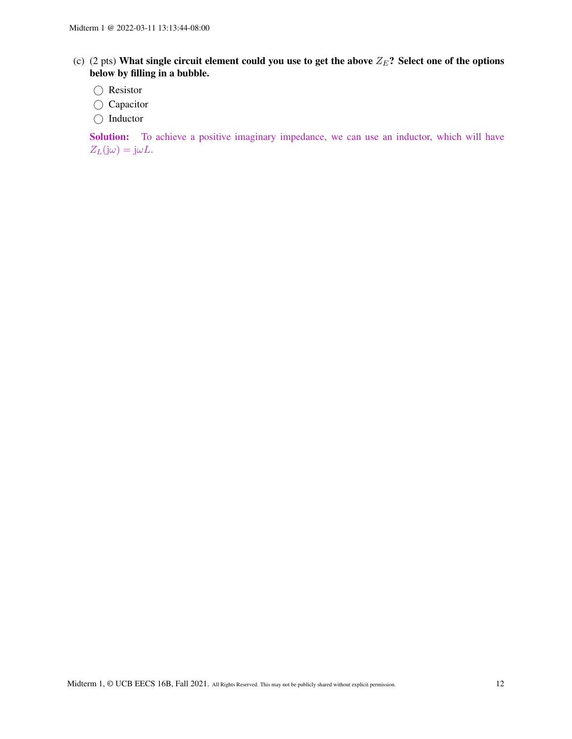- (c) (2 pts) What single circuit element could you use to get the above  $Z_E$ ? Select one of the options below by filling in a bubble.
	- ⃝ Resistor
	- Capacitor
	- ◯ Inductor

Solution: To achieve a positive imaginary impedance, we can use an inductor, which will have  $Z_L(j\omega) = j\omega L.$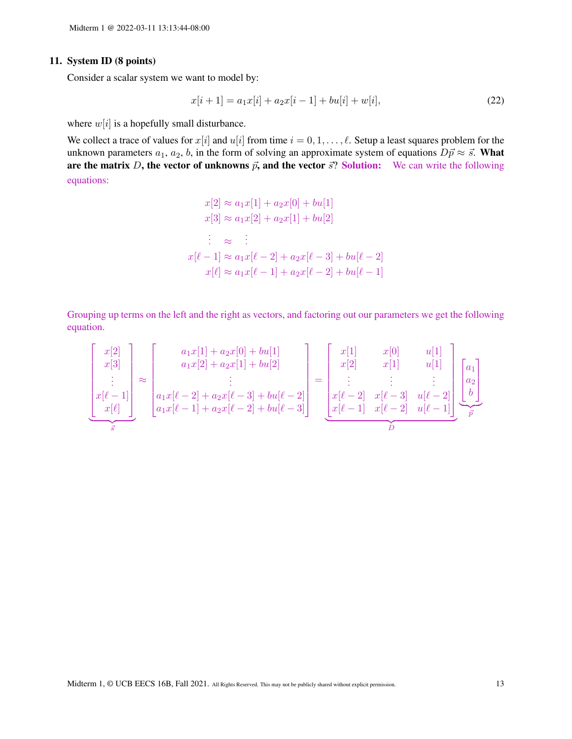# 11. System ID (8 points)

Consider a scalar system we want to model by:

$$
x[i+1] = a_1x[i] + a_2x[i-1] + bu[i] + w[i],
$$
\n(22)

where  $w[i]$  is a hopefully small disturbance.

We collect a trace of values for  $x[i]$  and  $u[i]$  from time  $i = 0, 1, \dots, \ell$ . Setup a least squares problem for the unknown parameters  $a_1, a_2, b$ , in the form of solving an approximate system of equations  $D\vec{p} \approx \vec{s}$ . What are the matrix D, the vector of unknowns  $\vec{p}$ , and the vector  $\vec{s}$ ? Solution: We can write the following equations:

$$
x[2] \approx a_1 x[1] + a_2 x[0] + bu[1]
$$
  
\n
$$
x[3] \approx a_1 x[2] + a_2 x[1] + bu[2]
$$
  
\n
$$
\vdots \approx \vdots
$$
  
\n
$$
x[\ell-1] \approx a_1 x[\ell-2] + a_2 x[\ell-3] + bu[\ell-2]
$$
  
\n
$$
x[\ell] \approx a_1 x[\ell-1] + a_2 x[\ell-2] + bu[\ell-1]
$$

Grouping up terms on the left and the right as vectors, and factoring out our parameters we get the following equation.

$$
\begin{bmatrix} x[2] \\ x[3] \\ \vdots \\ x[\ell-1] \\ x[\ell] \end{bmatrix} \approx \begin{bmatrix} a_1x[1] + a_2x[0] + bu[1] \\ a_1x[2] + a_2x[1] + bu[2] \\ \vdots \\ a_1x[\ell-2] + a_2x[\ell-3] + bu[\ell-2] \\ a_1x[\ell-1] + a_2x[\ell-2] + bu[\ell-3] \end{bmatrix} = \begin{bmatrix} x[1] & x[0] & u[1] \\ x[2] & x[1] & u[1] \\ \vdots & \vdots & \vdots \\ x[\ell-2] & x[\ell-3] & u[\ell-2] \\ \vdots & \vdots & \vdots \\ x[\ell-1] & x[\ell-2] & u[\ell-1] \end{bmatrix} \begin{bmatrix} a_1 \\ a_2 \\ \vdots \\ a_k \end{bmatrix}
$$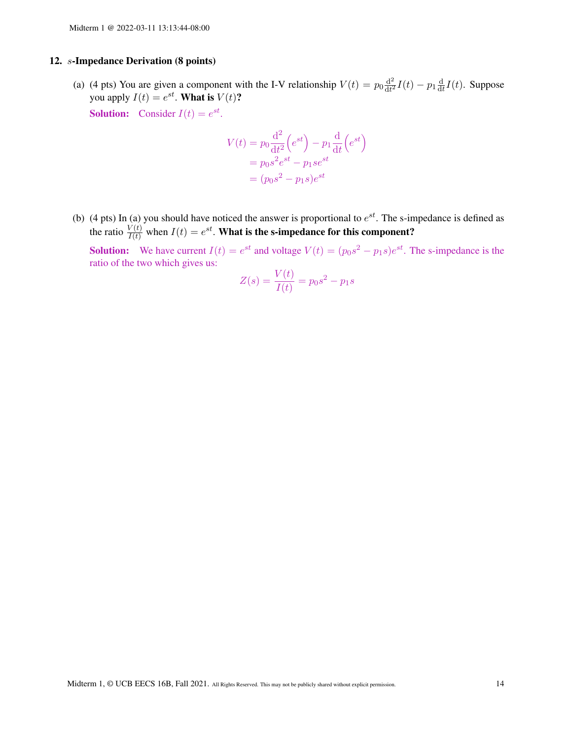## 12. s-Impedance Derivation (8 points)

(a) (4 pts) You are given a component with the I-V relationship  $V(t) = p_0 \frac{d^2}{dt^2}$  $\frac{\mathrm{d}^2}{\mathrm{d}t^2}I(t)-p_1\frac{\mathrm{d}}{\mathrm{d}t}$  $\frac{d}{dt}I(t)$ . Suppose you apply  $I(t) = e^{st}$ . What is  $V(t)$ ?

**Solution:** Consider  $I(t) = e^{st}$ .

$$
V(t) = p_0 \frac{d^2}{dt^2} (e^{st}) - p_1 \frac{d}{dt} (e^{st})
$$

$$
= p_0 s^2 e^{st} - p_1 s e^{st}
$$

$$
= (p_0 s^2 - p_1 s) e^{st}
$$

(b) (4 pts) In (a) you should have noticed the answer is proportional to  $e^{st}$ . The s-impedance is defined as the ratio  $\frac{V(t)}{I(t)}$  when  $I(t) = e^{st}$ . What is the s-impedance for this component?

**Solution:** We have current  $I(t) = e^{st}$  and voltage  $V(t) = (p_0 s^2 - p_1 s)e^{st}$ . The s-impedance is the ratio of the two which gives us:

$$
Z(s) = \frac{V(t)}{I(t)} = p_0 s^2 - p_1 s
$$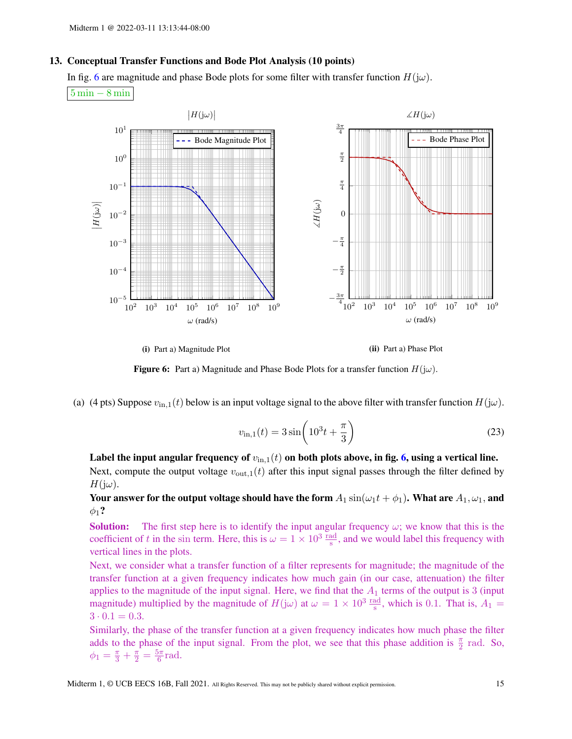### 13. Conceptual Transfer Functions and Bode Plot Analysis (10 points)

In fig. [6](#page-14-0) are magnitude and phase Bode plots for some filter with transfer function  $H(j\omega)$ . 5 min − 8 min

<span id="page-14-0"></span>





(a) (4 pts) Suppose  $v_{\text{in},1}(t)$  below is an input voltage signal to the above filter with transfer function  $H(j\omega)$ .

$$
v_{\rm in,1}(t) = 3\sin\left(10^3t + \frac{\pi}{3}\right) \tag{23}
$$

Label the input angular frequency of  $v_{\text{in},1}(t)$  on both plots above, in fig. [6,](#page-14-0) using a vertical line. Next, compute the output voltage  $v_{\text{out},1}(t)$  after this input signal passes through the filter defined by  $H(j\omega)$ .

Your answer for the output voltage should have the form  $A_1 \sin(\omega_1 t + \phi_1)$ . What are  $A_1, \omega_1$ , and  $\phi_1$ ?

**Solution:** The first step here is to identify the input angular frequency  $\omega$ ; we know that this is the coefficient of t in the sin term. Here, this is  $\omega = 1 \times 10^3 \frac{\text{rad}}{\text{s}}$ , and we would label this frequency with vertical lines in the plots.

Next, we consider what a transfer function of a filter represents for magnitude; the magnitude of the transfer function at a given frequency indicates how much gain (in our case, attenuation) the filter applies to the magnitude of the input signal. Here, we find that the  $A_1$  terms of the output is 3 (input magnitude) multiplied by the magnitude of  $H(j\omega)$  at  $\omega = 1 \times 10^3 \frac{\text{rad}}{\text{s}}$ , which is 0.1. That is,  $A_1 =$  $3 \cdot 0.1 = 0.3$ .

Similarly, the phase of the transfer function at a given frequency indicates how much phase the filter adds to the phase of the input signal. From the plot, we see that this phase addition is  $\frac{\pi}{2}$  rad. So,  $\phi_1 = \frac{\pi}{3} + \frac{\pi}{2} = \frac{5\pi}{6}$  $\frac{6}{6}$ rad.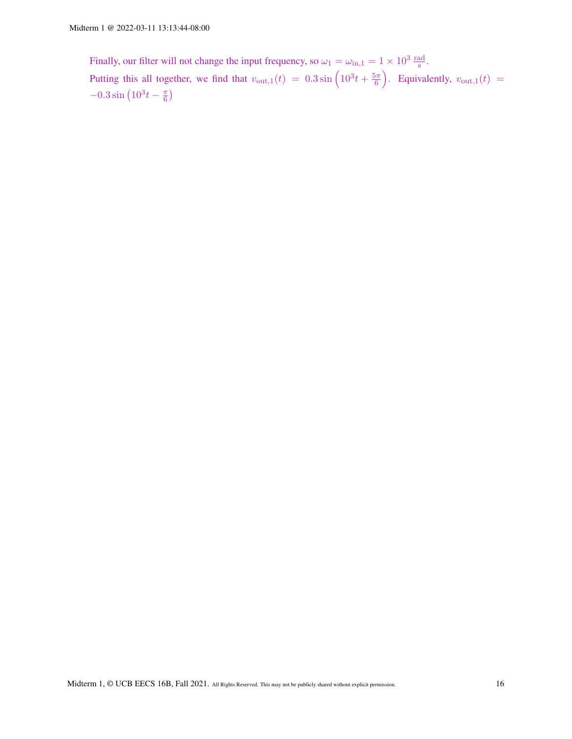Finally, our filter will not change the input frequency, so  $\omega_1 = \omega_{\text{in},1} = 1 \times 10^3 \frac{\text{rad}}{\text{s}}$ . Putting this all together, we find that  $v_{\text{out},1}(t) = 0.3 \sin \left( 10^3 t + \frac{5\pi}{6} \right)$  $\left(\frac{\delta \pi}{6}\right)$ . Equivalently,  $v_{\text{out},1}(t)$  =  $-0.3\sin\left(10^3t-\frac{\pi}{6}\right)$  $\frac{\pi}{6}$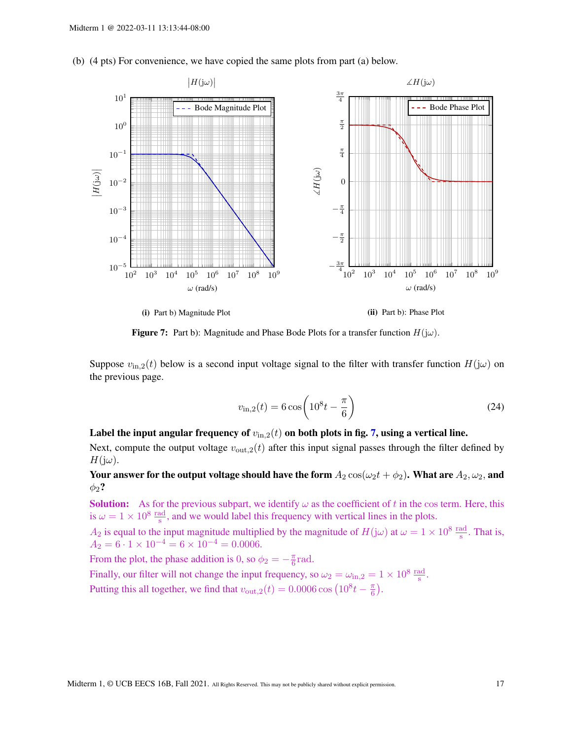<span id="page-16-0"></span>(b) (4 pts) For convenience, we have copied the same plots from part (a) below.



(i) Part b) Magnitude Plot

(ii) Part b): Phase Plot

Figure 7: Part b): Magnitude and Phase Bode Plots for a transfer function  $H(j\omega)$ .

Suppose  $v_{\text{in},2}(t)$  below is a second input voltage signal to the filter with transfer function  $H(j\omega)$  on the previous page.

$$
v_{\rm in,2}(t) = 6\cos\left(10^8 t - \frac{\pi}{6}\right)
$$
 (24)

# Label the input angular frequency of  $v_{\text{in},2}(t)$  on both plots in fig. [7,](#page-16-0) using a vertical line.

Next, compute the output voltage  $v_{\text{out,2}}(t)$  after this input signal passes through the filter defined by  $H(j\omega)$ .

Your answer for the output voltage should have the form  $A_2 \cos(\omega_2 t + \phi_2)$ . What are  $A_2, \omega_2$ , and  $\phi_2$ ?

**Solution:** As for the previous subpart, we identify  $\omega$  as the coefficient of t in the cos term. Here, this is  $\omega = 1 \times 10^8 \frac{\text{rad}}{\text{s}}$ , and we would label this frequency with vertical lines in the plots.

 $A_2$  is equal to the input magnitude multiplied by the magnitude of  $H(j\omega)$  at  $\omega = 1 \times 10^8 \frac{\text{rad}}{\text{s}}$ . That is,  $A_2 = 6 \cdot 1 \times 10^{-4} = 6 \times 10^{-4} = 0.0006.$ 

From the plot, the phase addition is 0, so  $\phi_2 = -\frac{\pi}{6}$  $\frac{\pi}{6}$ rad.

Finally, our filter will not change the input frequency, so  $\omega_2 = \omega_{\text{in},2} = 1 \times 10^8 \frac{\text{rad}}{\text{s}}$ . Putting this all together, we find that  $v_{\text{out},2}(t) = 0.0006 \cos \left(10^8 t - \frac{\pi}{6} \right)$  $\frac{\pi}{6}$ .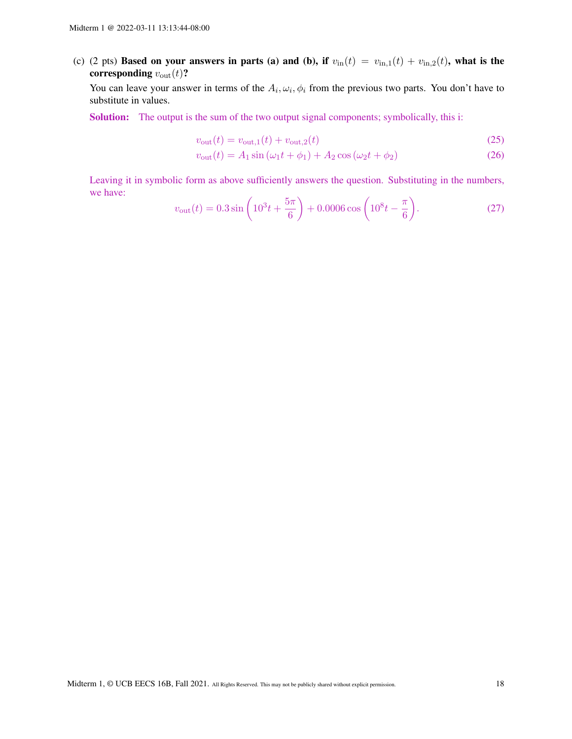(c) (2 pts) Based on your answers in parts (a) and (b), if  $v_{\text{in}}(t) = v_{\text{in},1}(t) + v_{\text{in},2}(t)$ , what is the corresponding  $v_{\text{out}}(t)$ ?

You can leave your answer in terms of the  $A_i, \omega_i, \phi_i$  from the previous two parts. You don't have to substitute in values.

Solution: The output is the sum of the two output signal components; symbolically, this i:

$$
v_{\text{out}}(t) = v_{\text{out},1}(t) + v_{\text{out},2}(t)
$$
\n(25)

$$
v_{\text{out}}(t) = A_1 \sin(\omega_1 t + \phi_1) + A_2 \cos(\omega_2 t + \phi_2)
$$
 (26)

Leaving it in symbolic form as above sufficiently answers the question. Substituting in the numbers, we have:

$$
v_{\text{out}}(t) = 0.3 \sin\left(10^3 t + \frac{5\pi}{6}\right) + 0.0006 \cos\left(10^8 t - \frac{\pi}{6}\right). \tag{27}
$$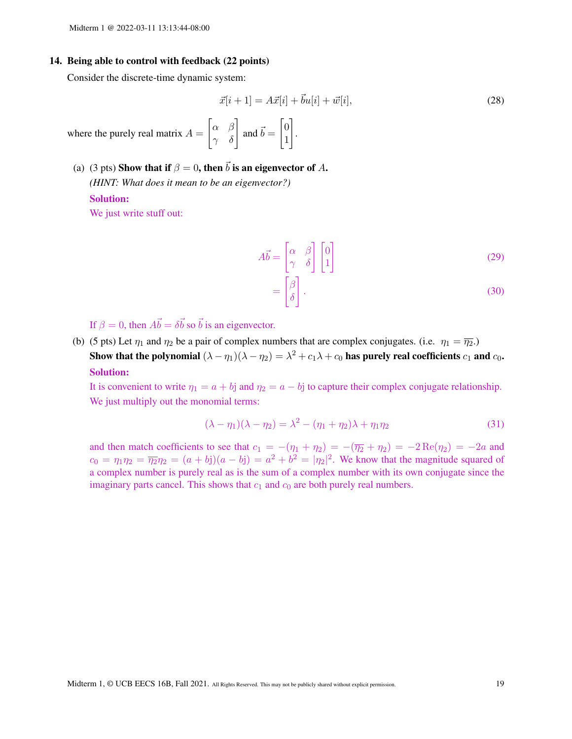#### 14. Being able to control with feedback (22 points)

Consider the discrete-time dynamic system:

$$
\vec{x}[i+1] = A\vec{x}[i] + \vec{b}u[i] + \vec{w}[i],
$$
\n(28)

where the purely real matrix  $A =$  $\begin{bmatrix} \alpha & \beta \\ \gamma & \delta \end{bmatrix}$  and  $\vec{b} = \begin{bmatrix} 0 \\ 1 \end{bmatrix}$ 1 1

(a) (3 pts) Show that if  $\beta = 0$ , then  $\vec{b}$  is an eigenvector of A. *(HINT: What does it mean to be an eigenvector?)* Solution:

We just write stuff out:

$$
A\vec{b} = \begin{bmatrix} \alpha & \beta \\ \gamma & \delta \end{bmatrix} \begin{bmatrix} 0 \\ 1 \end{bmatrix}
$$
 (29)

$$
= \begin{bmatrix} \beta \\ \delta \end{bmatrix} . \tag{30}
$$

If  $\beta = 0$ , then  $A\vec{b} = \delta \vec{b}$  so  $\vec{b}$  is an eigenvector.

(b) (5 pts) Let  $\eta_1$  and  $\eta_2$  be a pair of complex numbers that are complex conjugates. (i.e.  $\eta_1 = \overline{\eta_2}$ .) Show that the polynomial  $(\lambda-\eta_1)(\lambda-\eta_2)=\lambda^2+c_1\lambda+c_0$  has purely real coefficients  $c_1$  and  $c_0$ . Solution:

.

It is convenient to write  $\eta_1 = a + b$ j and  $\eta_2 = a - b$ j to capture their complex conjugate relationship. We just multiply out the monomial terms:

$$
(\lambda - \eta_1)(\lambda - \eta_2) = \lambda^2 - (\eta_1 + \eta_2)\lambda + \eta_1\eta_2
$$
\n(31)

and then match coefficients to see that  $c_1 = -(\eta_1 + \eta_2) = -(\overline{\eta_2} + \eta_2) = -2 \operatorname{Re}(\eta_2) = -2a$  and  $c_0 = \eta_1 \eta_2 = \overline{\eta_2} \eta_2 = (a + b j)(a - b j) = a^2 + b^2 = |\eta_2|^2$ . We know that the magnitude squared of a complex number is purely real as is the sum of a complex number with its own conjugate since the imaginary parts cancel. This shows that  $c_1$  and  $c_0$  are both purely real numbers.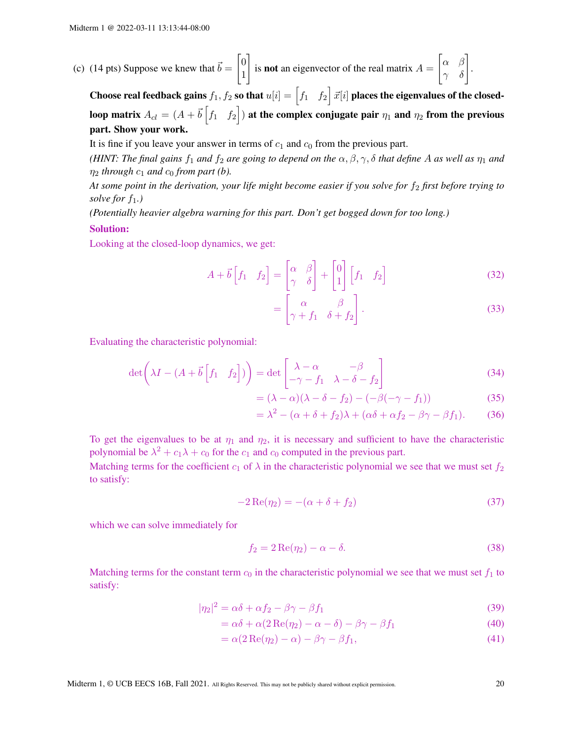(c) (14 pts) Suppose we knew that 
$$
\vec{b} = \begin{bmatrix} 0 \\ 1 \end{bmatrix}
$$
 is **not** an eigenvector of the real matrix  $A = \begin{bmatrix} \alpha & \beta \\ \gamma & \delta \end{bmatrix}$ 

Choose real feedback gains  $f_1,\,f_2$  so that  $u[i]=\begin{bmatrix} f_1 & f_2 \end{bmatrix} \vec{x}[i]$  places the eigenvalues of the closedloop matrix  $A_{cl}=(A+\vec{b}\begin{bmatrix}f_1&f_2\end{bmatrix})$  at the complex conjugate pair  $\eta_1$  and  $\eta_2$  from the previous part. Show your work.

It is fine if you leave your answer in terms of  $c_1$  and  $c_0$  from the previous part.

*(HINT: The final gains f<sub>1</sub> and f<sub>2</sub> are going to depend on the*  $\alpha, \beta, \gamma, \delta$  *that define* A *as well as*  $\eta_1$  *and*  $\eta_2$  *through*  $c_1$  *and*  $c_0$  *from part (b).* 

At some point in the derivation, your life might become easier if you solve for  $f_2$  first before trying to *solve for*  $f_1$ *.*)

*(Potentially heavier algebra warning for this part. Don't get bogged down for too long.)*

#### Solution:

Looking at the closed-loop dynamics, we get:

$$
A + \vec{b} \begin{bmatrix} f_1 & f_2 \end{bmatrix} = \begin{bmatrix} \alpha & \beta \\ \gamma & \delta \end{bmatrix} + \begin{bmatrix} 0 \\ 1 \end{bmatrix} \begin{bmatrix} f_1 & f_2 \end{bmatrix}
$$
(32)

$$
= \begin{bmatrix} \alpha & \beta \\ \gamma + f_1 & \delta + f_2 \end{bmatrix} . \tag{33}
$$

.

Evaluating the characteristic polynomial:

$$
\det\left(\lambda I - (A + \vec{b}\left[f_1 \quad f_2\right])\right) = \det\begin{bmatrix} \lambda - \alpha & -\beta \\ -\gamma - f_1 & \lambda - \delta - f_2 \end{bmatrix}
$$
(34)

$$
= (\lambda - \alpha)(\lambda - \delta - f_2) - (-\beta(-\gamma - f_1)) \tag{35}
$$

$$
= \lambda^2 - (\alpha + \delta + f_2)\lambda + (\alpha\delta + \alpha f_2 - \beta\gamma - \beta f_1). \tag{36}
$$

To get the eigenvalues to be at  $\eta_1$  and  $\eta_2$ , it is necessary and sufficient to have the characteristic polynomial be  $\lambda^2 + c_1 \lambda + c_0$  for the  $c_1$  and  $c_0$  computed in the previous part.

Matching terms for the coefficient  $c_1$  of  $\lambda$  in the characteristic polynomial we see that we must set  $f_2$ to satisfy:

$$
-2\operatorname{Re}(\eta_2) = -(\alpha + \delta + f_2) \tag{37}
$$

which we can solve immediately for

<span id="page-19-0"></span>
$$
f_2 = 2\operatorname{Re}(\eta_2) - \alpha - \delta. \tag{38}
$$

Matching terms for the constant term  $c_0$  in the characteristic polynomial we see that we must set  $f_1$  to satisfy:

$$
|\eta_2|^2 = \alpha \delta + \alpha f_2 - \beta \gamma - \beta f_1 \tag{39}
$$

$$
= \alpha \delta + \alpha (2 \operatorname{Re}(\eta_2) - \alpha - \delta) - \beta \gamma - \beta f_1 \tag{40}
$$

$$
= \alpha (2 \operatorname{Re}(\eta_2) - \alpha) - \beta \gamma - \beta f_1,
$$
\n(41)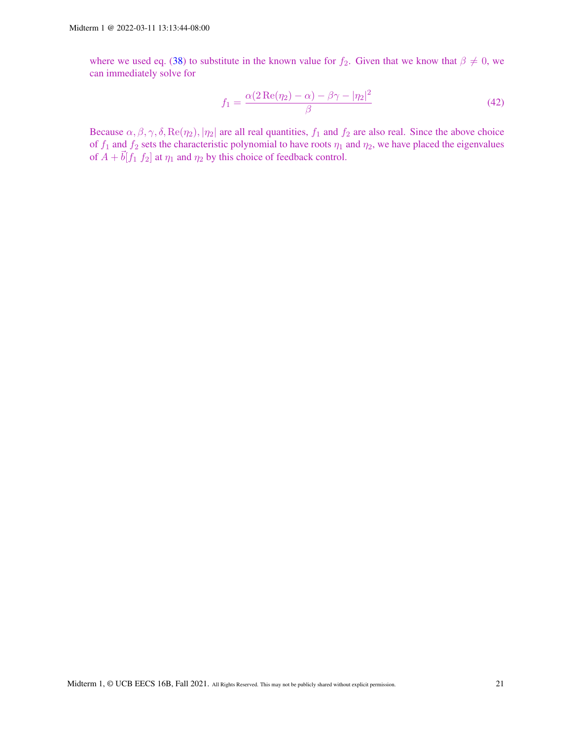where we used eq. [\(38\)](#page-19-0) to substitute in the known value for  $f_2$ . Given that we know that  $\beta \neq 0$ , we can immediately solve for

$$
f_1 = \frac{\alpha (2 \operatorname{Re}(\eta_2) - \alpha) - \beta \gamma - |\eta_2|^2}{\beta} \tag{42}
$$

Because  $\alpha, \beta, \gamma, \delta, \text{Re}(\eta_2), |\eta_2|$  are all real quantities,  $f_1$  and  $f_2$  are also real. Since the above choice of  $f_1$  and  $f_2$  sets the characteristic polynomial to have roots  $\eta_1$  and  $\eta_2$ , we have placed the eigenvalues of  $A + \vec{b}[f_1 \, f_2]$  at  $\eta_1$  and  $\eta_2$  by this choice of feedback control.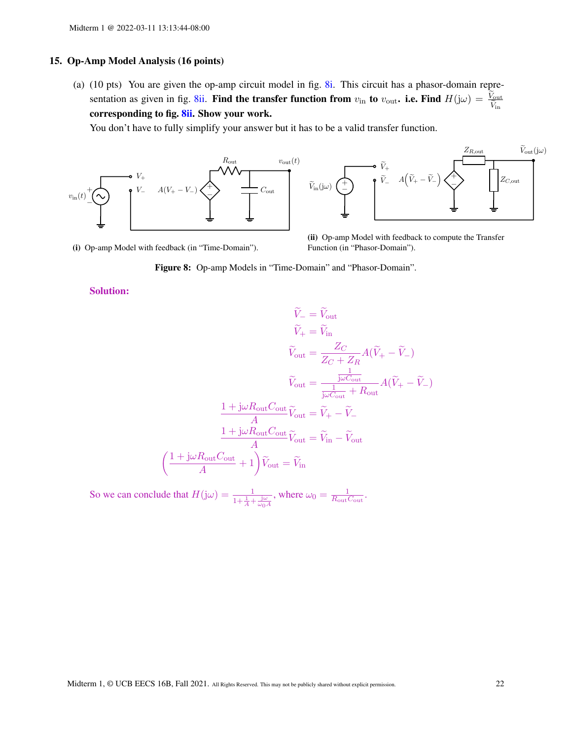#### 15. Op-Amp Model Analysis (16 points)

(a) (10 pts) You are given the op-amp circuit model in fig. [8i.](#page-21-0) This circuit has a phasor-domain repre-sentation as given in fig. [8ii.](#page-21-0) Find the transfer function from  $v_{\text{in}}$  to  $v_{\text{out}}$ . i.e. Find  $H(j\omega) = \frac{V_{\text{out}}}{\tilde{V}_{\text{in}}}$ corresponding to fig. [8ii.](#page-21-0) Show your work.

You don't have to fully simplify your answer but it has to be a valid transfer function.

<span id="page-21-0"></span>

(i) Op-amp Model with feedback (in "Time-Domain").

(ii) Op-amp Model with feedback to compute the Transfer Function (in "Phasor-Domain").

Figure 8: Op-amp Models in "Time-Domain" and "Phasor-Domain".

## Solution:

$$
\widetilde{V}_{-} = \widetilde{V}_{\text{out}}
$$
\n
$$
\widetilde{V}_{+} = \widetilde{V}_{\text{in}}
$$
\n
$$
\widetilde{V}_{\text{out}} = \frac{Z_C}{Z_C + Z_R} A(\widetilde{V}_{+} - \widetilde{V}_{-})
$$
\n
$$
\widetilde{V}_{\text{out}} = \frac{\frac{1}{j\omega C_{\text{out}}}}{\frac{1}{j\omega C_{\text{out}}} + R_{\text{out}}} A(\widetilde{V}_{+} - \widetilde{V}_{-})
$$
\n
$$
\frac{1 + j\omega R_{\text{out}} C_{\text{out}}}{A} \widetilde{V}_{\text{out}} = \widetilde{V}_{+} - \widetilde{V}_{-}
$$
\n
$$
\frac{1 + j\omega R_{\text{out}} C_{\text{out}}}{A} \widetilde{V}_{\text{out}} = \widetilde{V}_{\text{in}} - \widetilde{V}_{\text{out}}
$$
\n
$$
\left(\frac{1 + j\omega R_{\text{out}} C_{\text{out}}}{A} + 1\right) \widetilde{V}_{\text{out}} = \widetilde{V}_{\text{in}}
$$

So we can conclude that  $H(j\omega) = \frac{1}{1 + \frac{1}{A} + \frac{j\omega}{\omega_0 A}}$ , where  $\omega_0 = \frac{1}{R_{\text{out}}$  $\frac{1}{R_{\rm out} C_{\rm out}}.$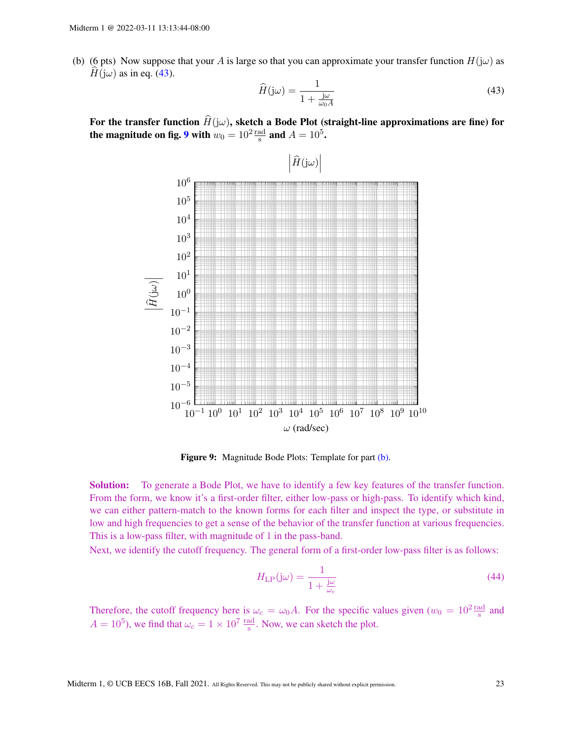<span id="page-22-2"></span>(b) (6 pts) Now suppose that your A is large so that you can approximate your transfer function  $H(j\omega)$  as  $H(j\omega)$  as in eq. [\(43\)](#page-22-0).

<span id="page-22-0"></span>
$$
\widehat{H}(\mathbf{j}\omega) = \frac{1}{1 + \frac{\mathbf{j}\omega}{\omega_0 A}}\tag{43}
$$

<span id="page-22-1"></span>For the transfer function  $\hat{H}(j\omega)$ , sketch a Bode Plot (straight-line approximations are fine) for the magnitude on fig. [9](#page-22-1) with  $w_0 = 10^2 \frac{\text{rad}}{\text{s}}$  and  $A = 10^5$ .



Figure 9: Magnitude Bode Plots: Template for part [\(b\).](#page-22-2)

**Solution:** To generate a Bode Plot, we have to identify a few key features of the transfer function. From the form, we know it's a first-order filter, either low-pass or high-pass. To identify which kind, we can either pattern-match to the known forms for each filter and inspect the type, or substitute in low and high frequencies to get a sense of the behavior of the transfer function at various frequencies. This is a low-pass filter, with magnitude of 1 in the pass-band.

Next, we identify the cutoff frequency. The general form of a first-order low-pass filter is as follows:

$$
H_{\rm LP}(j\omega) = \frac{1}{1 + \frac{j\omega}{\omega_c}}\tag{44}
$$

Therefore, the cutoff frequency here is  $\omega_c = \omega_0 A$ . For the specific values given  $(w_0 = 10^2 \frac{\text{rad}}{\text{s}})$  and  $A = 10^5$ ), we find that  $\omega_c = 1 \times 10^7 \frac{\text{rad}}{\text{s}}$ . Now, we can sketch the plot.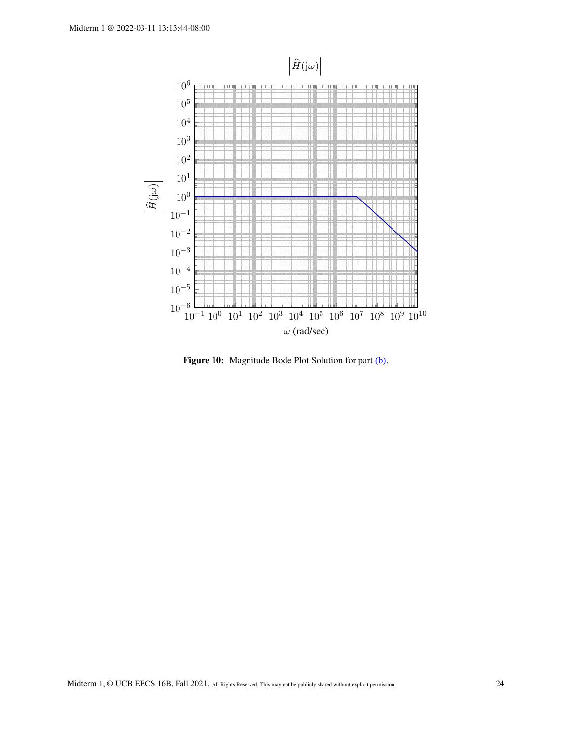

Figure 10: Magnitude Bode Plot Solution for part [\(b\).](#page-22-2)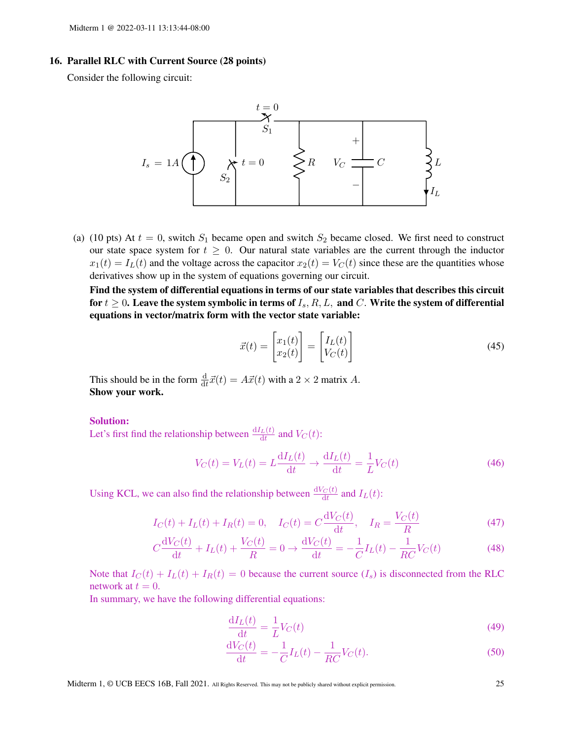## 16. Parallel RLC with Current Source (28 points)

Consider the following circuit:



(a) (10 pts) At  $t = 0$ , switch  $S_1$  became open and switch  $S_2$  became closed. We first need to construct our state space system for  $t \geq 0$ . Our natural state variables are the current through the inductor  $x_1(t) = I_L(t)$  and the voltage across the capacitor  $x_2(t) = V_C(t)$  since these are the quantities whose derivatives show up in the system of equations governing our circuit.

Find the system of differential equations in terms of our state variables that describes this circuit for  $t \geq 0$ . Leave the system symbolic in terms of  $I_s$ ,  $R, L$ , and  $C$ . Write the system of differential equations in vector/matrix form with the vector state variable:

$$
\vec{x}(t) = \begin{bmatrix} x_1(t) \\ x_2(t) \end{bmatrix} = \begin{bmatrix} I_L(t) \\ V_C(t) \end{bmatrix}
$$
\n(45)

This should be in the form  $\frac{d}{dt}\vec{x}(t) = A\vec{x}(t)$  with a  $2 \times 2$  matrix A. Show your work.

## Solution:

Let's first find the relationship between  $\frac{dI_L(t)}{dt}$  and  $V_C(t)$ :

$$
V_C(t) = V_L(t) = L \frac{dI_L(t)}{dt} \rightarrow \frac{dI_L(t)}{dt} = \frac{1}{L} V_C(t)
$$
\n(46)

Using KCL, we can also find the relationship between  $\frac{dV_C(t)}{dt}$  and  $I_L(t)$ :

$$
I_C(t) + I_L(t) + I_R(t) = 0
$$
,  $I_C(t) = C \frac{dV_C(t)}{dt}$ ,  $I_R = \frac{V_C(t)}{R}$  (47)

$$
C\frac{\mathrm{d}V_C(t)}{\mathrm{d}t} + I_L(t) + \frac{V_C(t)}{R} = 0 \to \frac{\mathrm{d}V_C(t)}{\mathrm{d}t} = -\frac{1}{C}I_L(t) - \frac{1}{RC}V_C(t) \tag{48}
$$

Note that  $I_C(t) + I_L(t) + I_R(t) = 0$  because the current source  $(I_s)$  is disconnected from the RLC network at  $t = 0$ .

In summary, we have the following differential equations:

$$
\frac{\mathrm{d}I_L(t)}{\mathrm{d}t} = \frac{1}{L}V_C(t) \tag{49}
$$

$$
\frac{dV_C(t)}{dt} = -\frac{1}{C}I_L(t) - \frac{1}{RC}V_C(t).
$$
\n(50)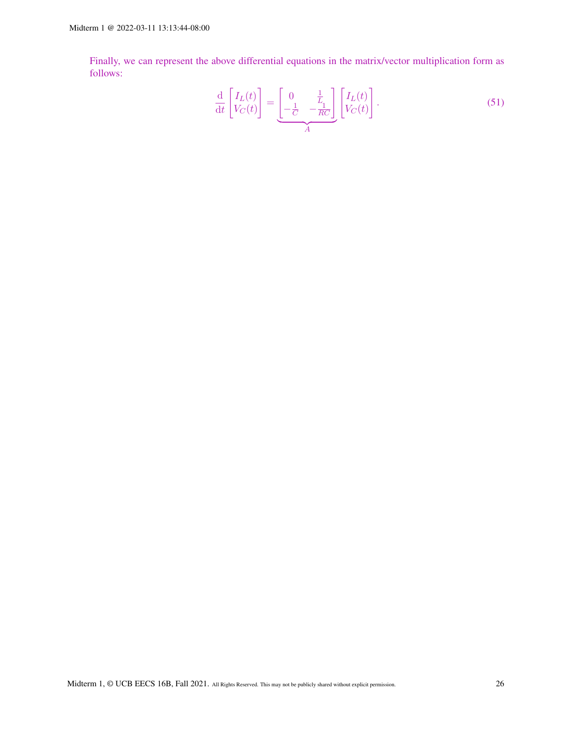Finally, we can represent the above differential equations in the matrix/vector multiplication form as follows:

$$
\frac{\mathrm{d}}{\mathrm{d}t} \begin{bmatrix} I_L(t) \\ V_C(t) \end{bmatrix} = \underbrace{\begin{bmatrix} 0 & \frac{1}{L_1} \\ -\frac{1}{C} & -\frac{1}{RC} \end{bmatrix}}_{A} \begin{bmatrix} I_L(t) \\ V_C(t) \end{bmatrix} . \tag{51}
$$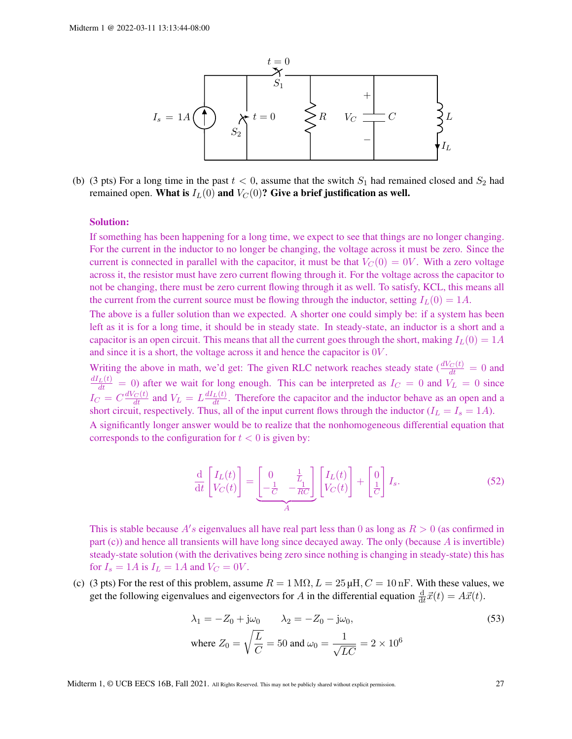

(b) (3 pts) For a long time in the past  $t < 0$ , assume that the switch  $S_1$  had remained closed and  $S_2$  had remained open. What is  $I_L(0)$  and  $V_C(0)$ ? Give a brief justification as well.

#### Solution:

If something has been happening for a long time, we expect to see that things are no longer changing. For the current in the inductor to no longer be changing, the voltage across it must be zero. Since the current is connected in parallel with the capacitor, it must be that  $V_C(0) = 0V$ . With a zero voltage across it, the resistor must have zero current flowing through it. For the voltage across the capacitor to not be changing, there must be zero current flowing through it as well. To satisfy, KCL, this means all the current from the current source must be flowing through the inductor, setting  $I_L(0) = 1A$ .

The above is a fuller solution than we expected. A shorter one could simply be: if a system has been left as it is for a long time, it should be in steady state. In steady-state, an inductor is a short and a capacitor is an open circuit. This means that all the current goes through the short, making  $I_L(0) = 1A$ and since it is a short, the voltage across it and hence the capacitor is 0V .

Writing the above in math, we'd get: The given RLC network reaches steady state  $\left(\frac{dV_C(t)}{dt}\right) = 0$  and  $\frac{dI_L(t)}{dt} = 0$  after we wait for long enough. This can be interpreted as  $I_C = 0$  and  $V_L = 0$  since  $I_C = C \frac{dV_C(t)}{dt}$  and  $V_L = L \frac{dI_L(t)}{dt}$ . Therefore the capacitor and the inductor behave as an open and a short circuit, respectively. Thus, all of the input current flows through the inductor  $(I_L = I_s = 1A)$ . A significantly longer answer would be to realize that the nonhomogeneous differential equation that

corresponds to the configuration for  $t < 0$  is given by:

$$
\frac{\mathrm{d}}{\mathrm{d}t} \left[ I_L(t) \right] = \underbrace{\begin{bmatrix} 0 & \frac{1}{L_1} \\ -\frac{1}{C} & -\frac{1}{RC} \end{bmatrix}}_{A} \left[ \begin{bmatrix} I_L(t) \\ V_C(t) \end{bmatrix} + \begin{bmatrix} 0 \\ \frac{1}{C} \end{bmatrix} I_s. \tag{52}
$$

This is stable because  $A$ 's eigenvalues all have real part less than 0 as long as  $R > 0$  (as confirmed in part (c)) and hence all transients will have long since decayed away. The only (because A is invertible) steady-state solution (with the derivatives being zero since nothing is changing in steady-state) this has for  $I_s = 1A$  is  $I_L = 1A$  and  $V_C = 0V$ .

(c) (3 pts) For the rest of this problem, assume  $R = 1 \text{ M}\Omega$ ,  $L = 25 \mu\text{H}$ ,  $C = 10 \text{ nF}$ . With these values, we get the following eigenvalues and eigenvectors for A in the differential equation  $\frac{d}{dt}\vec{x}(t) = A\vec{x}(t)$ .

$$
\lambda_1 = -Z_0 + j\omega_0 \qquad \lambda_2 = -Z_0 - j\omega_0,
$$
  
where  $Z_0 = \sqrt{\frac{L}{C}} = 50$  and  $\omega_0 = \frac{1}{\sqrt{LC}} = 2 \times 10^6$  (53)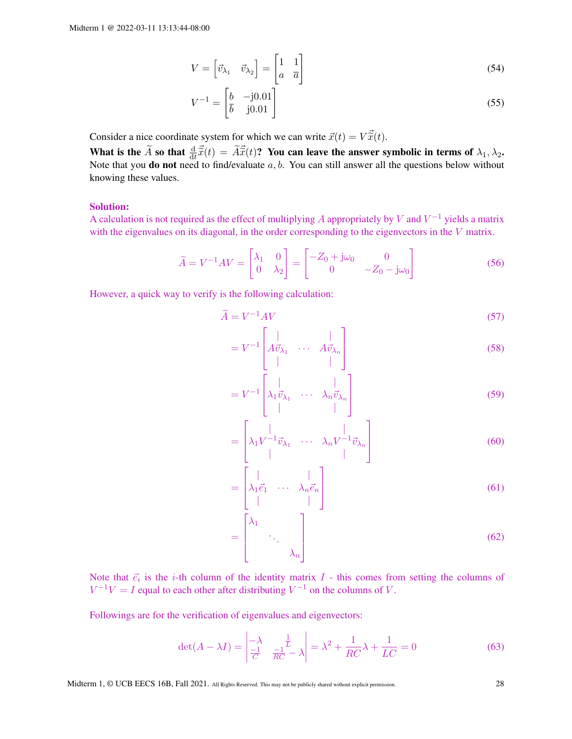$$
V = \begin{bmatrix} \vec{v}_{\lambda_1} & \vec{v}_{\lambda_2} \end{bmatrix} = \begin{bmatrix} 1 & 1 \\ a & \overline{a} \end{bmatrix}
$$
 (54)

$$
V^{-1} = \begin{bmatrix} b & -j0.01 \\ \overline{b} & j0.01 \end{bmatrix}
$$
 (55)

Consider a nice coordinate system for which we can write  $\vec{x}(t) = V\vec{\tilde{x}}(t)$ .

What is the  $\widetilde{A}$  so that  $\frac{d}{dt}\vec{\widetilde{x}}(t) = \widetilde{A}\vec{\widetilde{x}}(t)$ ? You can leave the answer symbolic in terms of  $\lambda_1, \lambda_2$ . Note that you **do not** need to find/evaluate  $a, b$ . You can still answer all the questions below without knowing these values.

## Solution:

A calculation is not required as the effect of multiplying A appropriately by V and  $V^{-1}$  yields a matrix with the eigenvalues on its diagonal, in the order corresponding to the eigenvectors in the V matrix.

$$
\widetilde{A} = V^{-1}AV = \begin{bmatrix} \lambda_1 & 0 \\ 0 & \lambda_2 \end{bmatrix} = \begin{bmatrix} -Z_0 + j\omega_0 & 0 \\ 0 & -Z_0 - j\omega_0 \end{bmatrix}
$$
\n(56)

However, a quick way to verify is the following calculation:

$$
\widetilde{A} = V^{-1}AV \tag{57}
$$

$$
= V^{-1} \begin{bmatrix} | & | & | \\ A \vec{v}_{\lambda_1} & \cdots & A \vec{v}_{\lambda_n} \\ | & | & | \end{bmatrix}
$$
 (58)

$$
= V^{-1} \begin{bmatrix} | & & | \\ \lambda_1 \vec{v}_{\lambda_1} & \cdots & \lambda_n \vec{v}_{\lambda_n} \\ | & & | \end{bmatrix}
$$
 (59)

$$
= \begin{bmatrix} | & & | \\ \lambda_1 V^{-1} \vec{v}_{\lambda_1} & \cdots & \lambda_n V^{-1} \vec{v}_{\lambda_n} \\ | & & | \end{bmatrix}
$$
 (60)

$$
= \begin{bmatrix} | & & | \\ \lambda_1 \vec{e}_1 & \cdots & \lambda_n \vec{e}_n \end{bmatrix}
$$
 (61)

$$
= \begin{bmatrix} \lambda_1 & & \\ & \ddots & \\ & & \lambda_n \end{bmatrix} \tag{62}
$$

Note that  $\vec{e}_i$  is the *i*-th column of the identity matrix  $I$  - this comes from setting the columns of  $V^{-1}V = I$  equal to each other after distributing  $V^{-1}$  on the columns of V.

 $\sim$  1

Followings are for the verification of eigenvalues and eigenvectors:

 $\mathcal{L}^{\mathcal{L}}$ 

$$
\det(A - \lambda I) = \begin{vmatrix} -\lambda & \frac{1}{L} \\ \frac{-1}{C} & \frac{-1}{RC} - \lambda \end{vmatrix} = \lambda^2 + \frac{1}{RC}\lambda + \frac{1}{LC} = 0
$$
 (63)

Midterm 1, © UCB EECS 16B, Fall 2021. All Rights Reserved. This may not be publicly shared without explicit permission. 28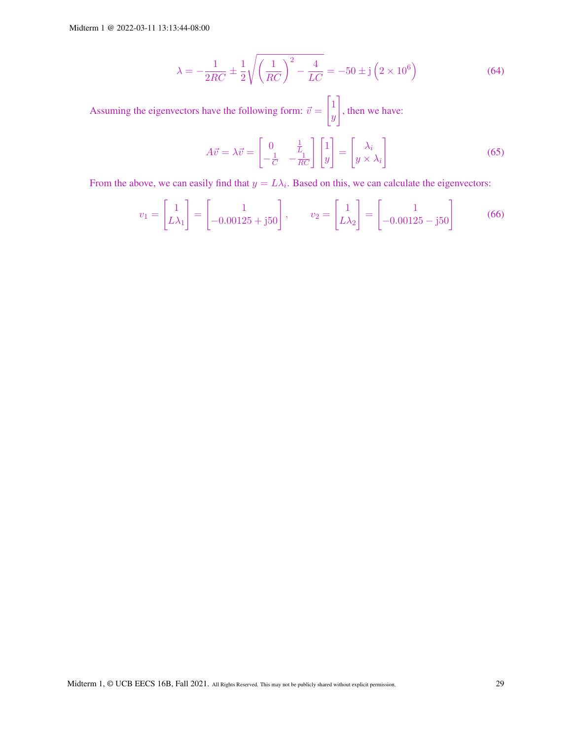$$
\lambda = -\frac{1}{2RC} \pm \frac{1}{2} \sqrt{\left(\frac{1}{RC}\right)^2 - \frac{4}{LC}} = -50 \pm \mathrm{j} \left(2 \times 10^6\right) \tag{64}
$$

Assuming the eigenvectors have the following form:  $\vec{v} =$  $\lceil 1 \rceil$  $\hat{y}$ 1 , then we have:

$$
A\vec{v} = \lambda \vec{v} = \begin{bmatrix} 0 & \frac{1}{L_1} \\ -\frac{1}{C} & -\frac{1}{RC} \end{bmatrix} \begin{bmatrix} 1 \\ y \end{bmatrix} = \begin{bmatrix} \lambda_i \\ y \times \lambda_i \end{bmatrix}
$$
(65)

From the above, we can easily find that  $y = L\lambda_i$ . Based on this, we can calculate the eigenvectors:

$$
v_1 = \begin{bmatrix} 1 \\ L\lambda_1 \end{bmatrix} = \begin{bmatrix} 1 \\ -0.00125 + j50 \end{bmatrix}, \qquad v_2 = \begin{bmatrix} 1 \\ L\lambda_2 \end{bmatrix} = \begin{bmatrix} 1 \\ -0.00125 - j50 \end{bmatrix}
$$
(66)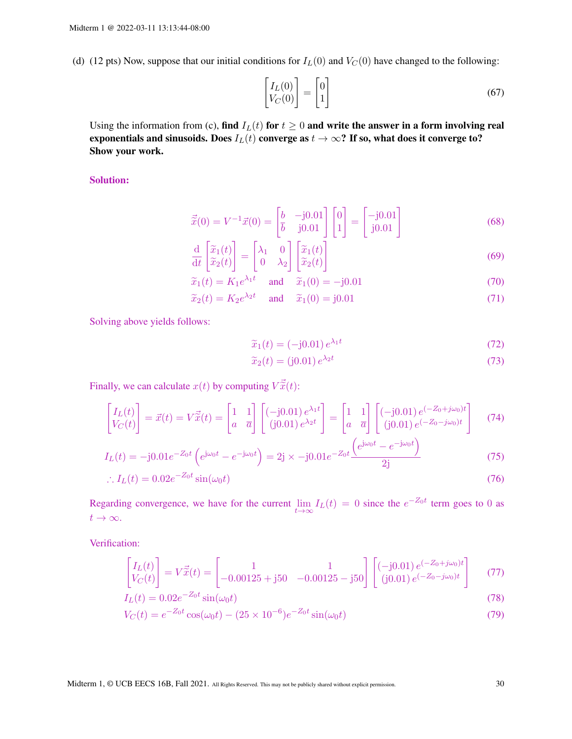(d) (12 pts) Now, suppose that our initial conditions for  $I_L(0)$  and  $V_C(0)$  have changed to the following:

$$
\begin{bmatrix} I_L(0) \\ V_C(0) \end{bmatrix} = \begin{bmatrix} 0 \\ 1 \end{bmatrix} \tag{67}
$$

Using the information from (c), find  $I_L(t)$  for  $t \geq 0$  and write the answer in a form involving real exponentials and sinusoids. Does  $I_L(t)$  converge as  $t \to \infty$ ? If so, what does it converge to? Show your work.

Solution:

$$
\vec{\tilde{x}}(0) = V^{-1}\vec{x}(0) = \begin{bmatrix} b & -j0.01 \\ \bar{b} & j0.01 \end{bmatrix} \begin{bmatrix} 0 \\ 1 \end{bmatrix} = \begin{bmatrix} -j0.01 \\ j0.01 \end{bmatrix}
$$
 (68)

$$
\frac{\mathrm{d}}{\mathrm{d}t} \begin{bmatrix} \widetilde{x}_1(t) \\ \widetilde{x}_2(t) \end{bmatrix} = \begin{bmatrix} \lambda_1 & 0 \\ 0 & \lambda_2 \end{bmatrix} \begin{bmatrix} \widetilde{x}_1(t) \\ \widetilde{x}_2(t) \end{bmatrix}
$$
\n(69)

$$
\widetilde{x}_1(t) = K_1 e^{\lambda_1 t} \quad \text{and} \quad \widetilde{x}_1(0) = -j0.01 \tag{70}
$$

$$
\widetilde{x}_2(t) = K_2 e^{\lambda_2 t} \quad \text{and} \quad \widetilde{x}_1(0) = j0.01 \tag{71}
$$

Solving above yields follows:

$$
\widetilde{x}_1(t) = (-j0.01) e^{\lambda_1 t}
$$
\n
$$
\widetilde{x}_2(t) = (j0.01) e^{\lambda_2 t}
$$
\n(72)\n(73)

$$
\widetilde{x}_2(t) = (j0.01) e^{\lambda_2 t} \tag{73}
$$

Finally, we can calculate  $x(t)$  by computing  $V\vec{\tilde{x}}(t)$ :

$$
\begin{bmatrix} I_L(t) \\ V_C(t) \end{bmatrix} = \vec{x}(t) = V\vec{\tilde{x}}(t) = \begin{bmatrix} 1 & 1 \\ a & \overline{a} \end{bmatrix} \begin{bmatrix} (-j0.01) e^{\lambda_1 t} \\ (j0.01) e^{\lambda_2 t} \end{bmatrix} = \begin{bmatrix} 1 & 1 \\ a & \overline{a} \end{bmatrix} \begin{bmatrix} (-j0.01) e^{(-Z_0 + j\omega_0)t} \\ (j0.01) e^{(-Z_0 - j\omega_0)t} \end{bmatrix}
$$
(74)

$$
I_L(t) = -j0.01e^{-Z_0t} \left( e^{j\omega_0 t} - e^{-j\omega_0 t} \right) = 2j \times -j0.01e^{-Z_0t} \frac{\left( e^{j\omega_0 t} - e^{-j\omega_0 t} \right)}{2j}
$$
(75)

$$
\therefore I_L(t) = 0.02e^{-Z_0t}\sin(\omega_0 t) \tag{76}
$$

Regarding convergence, we have for the current  $\lim_{t\to\infty} I_L(t) = 0$  since the  $e^{-Z_0 t}$  term goes to 0 as  $t\to\infty$ .

Verification:

$$
\begin{bmatrix} I_L(t) \\ V_C(t) \end{bmatrix} = V \vec{\tilde{x}}(t) = \begin{bmatrix} 1 & 1 \\ -0.00125 + j50 & -0.00125 - j50 \end{bmatrix} \begin{bmatrix} (-j0.01) e^{(-Z_0 + j\omega_0)t} \\ (j0.01) e^{(-Z_0 - j\omega_0)t} \end{bmatrix}
$$
(77)

$$
I_L(t) = 0.02e^{-20t} \sin(\omega_0 t)
$$
\n(78)

$$
V_C(t) = e^{-Z_0 t} \cos(\omega_0 t) - (25 \times 10^{-6}) e^{-Z_0 t} \sin(\omega_0 t)
$$
\n(79)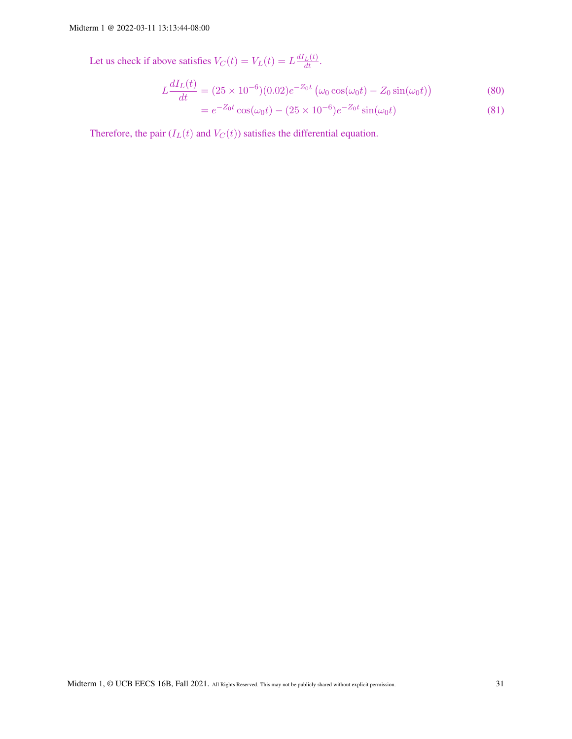Let us check if above satisfies  $V_C(t) = V_L(t) = L \frac{dI_L(t)}{dt}$ .

$$
L\frac{dI_L(t)}{dt} = (25 \times 10^{-6})(0.02)e^{-Z_0t} \left(\omega_0 \cos(\omega_0 t) - Z_0 \sin(\omega_0 t)\right)
$$
(80)

$$
= e^{-Z_0 t} \cos(\omega_0 t) - (25 \times 10^{-6}) e^{-Z_0 t} \sin(\omega_0 t)
$$
\n(81)

Therefore, the pair  $(I_L(t)$  and  $V_C(t)$  satisfies the differential equation.